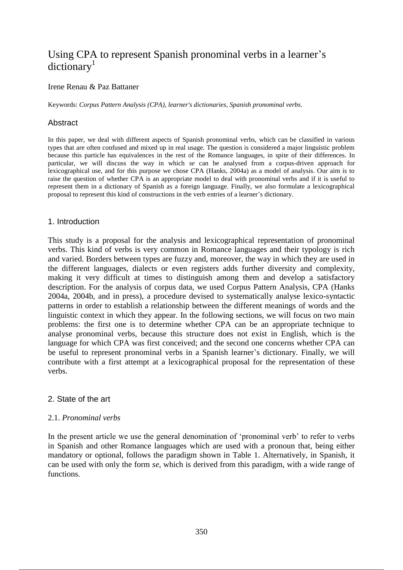# Using CPA to represent Spanish pronominal verbs in a learner's  $dictionarv<sup>1</sup>$

### Irene Renau & Paz Battaner

Keywords: *Corpus Pattern Analysis (CPA)*, *learner's dictionaries*, *Spanish pronominal verbs*.

# Abstract

In this paper, we deal with different aspects of Spanish pronominal verbs, which can be classified in various types that are often confused and mixed up in real usage. The question is considered a major linguistic problem because this particle has equivalences in the rest of the Romance languages, in spite of their differences. In particular, we will discuss the way in which *se* can be analysed from a corpus-driven approach for lexicographical use, and for this purpose we chose CPA (Hanks, 2004a) as a model of analysis. Our aim is to raise the question of whether CPA is an appropriate model to deal with pronominal verbs and if it is useful to represent them in a dictionary of Spanish as a foreign language. Finally, we also formulate a lexicographical proposal to represent this kind of constructions in the verb entries of a learner's dictionary.

#### 1. Introduction

This study is a proposal for the analysis and lexicographical representation of pronominal verbs. This kind of verbs is very common in Romance languages and their typology is rich and varied. Borders between types are fuzzy and, moreover, the way in which they are used in the different languages, dialects or even registers adds further diversity and complexity, making it very difficult at times to distinguish among them and develop a satisfactory description. For the analysis of corpus data, we used Corpus Pattern Analysis, CPA (Hanks 2004a, 2004b, and in press), a procedure devised to systematically analyse lexico-syntactic patterns in order to establish a relationship between the different meanings of words and the linguistic context in which they appear. In the following sections, we will focus on two main problems: the first one is to determine whether CPA can be an appropriate technique to analyse pronominal verbs, because this structure does not exist in English, which is the language for which CPA was first conceived; and the second one concerns whether CPA can be useful to represent pronominal verbs in a Spanish learner's dictionary. Finally, we will contribute with a first attempt at a lexicographical proposal for the representation of these verbs.

# 2. State of the art

# 2.1. *Pronominal verbs*

In the present article we use the general denomination of 'pronominal verb' to refer to verbs in Spanish and other Romance languages which are used with a pronoun that, being either mandatory or optional, follows the paradigm shown in Table 1. Alternatively, in Spanish, it can be used with only the form *se*, which is derived from this paradigm, with a wide range of functions.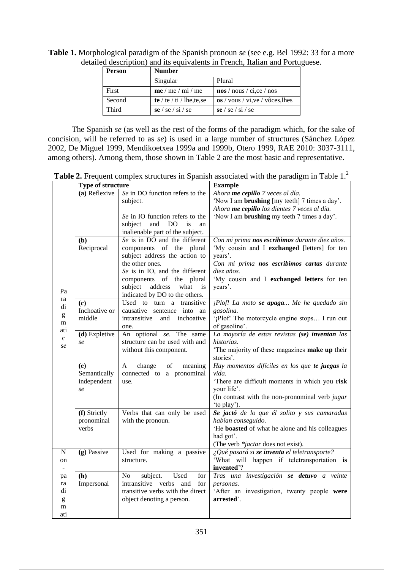| Person | <b>Number</b>              |                                  |  |
|--------|----------------------------|----------------------------------|--|
|        | Singular                   | Plural                           |  |
| First  | me/me/mi/me                | $\cos$ / nous / ci,ce / nos      |  |
| Second | te / te / ti / lhe, te, se | os / vous / vi, ve / vôces, lhes |  |
| Third  | se / se / si / se          | se / se / si / se                |  |

**Table 1.** Morphological paradigm of the Spanish pronoun *se* (see e.g. Bel 1992: 33 for a more detailed description) and its equivalents in French, Italian and Portuguese.

The Spanish *se* (as well as the rest of the forms of the paradigm which, for the sake of concision, will be referred to as *se*) is used in a large number of structures (Sánchez López 2002, De Miguel 1999, Mendikoetxea 1999a and 1999b, Otero 1999, RAE 2010: 3037-3111, among others). Among them, those shown in Table 2 are the most basic and representative.

Table 2. Frequent complex structures in Spanish associated with the paradigm in Table 1.<sup>2</sup>

|                                                                                                                                                                                                                                                                                                                                                                                                                                                  | Type of structure                        |                                                                                                                                                                                                                                                                                                           | <b>Example</b>                                                                                                                                                                                                                                                                                                                                                          |
|--------------------------------------------------------------------------------------------------------------------------------------------------------------------------------------------------------------------------------------------------------------------------------------------------------------------------------------------------------------------------------------------------------------------------------------------------|------------------------------------------|-----------------------------------------------------------------------------------------------------------------------------------------------------------------------------------------------------------------------------------------------------------------------------------------------------------|-------------------------------------------------------------------------------------------------------------------------------------------------------------------------------------------------------------------------------------------------------------------------------------------------------------------------------------------------------------------------|
|                                                                                                                                                                                                                                                                                                                                                                                                                                                  | (a) Reflexive<br>(b)<br>Reciprocal       | Se in DO function refers to the<br>subject.<br>Se in IO function refers to the<br>subject<br>and<br>DO<br>is<br>an<br>inalienable part of the subject.<br>Se is in DO and the different<br>components of the plural<br>subject address the action to<br>the other ones.<br>Se is in IO, and the different | Ahora me cepillo 7 veces al día.<br>'Now I am <b>brushing</b> [my teeth] 7 times a day'.<br>Ahora me cepillo los dientes 7 veces al día.<br>'Now I am <b>brushing</b> my teeth 7 times a day'.<br>Con mi prima nos escribimos durante diez años.<br>'My cousin and I exchanged [letters] for ten<br>years'.<br>Con mi prima nos escribimos cartas durante<br>diez años. |
| Pa<br>ra<br>di<br>$\mathbf{g}% _{T}=\mathbf{g}_{T}=\mathbf{g}_{T}=\mathbf{g}_{T}=\mathbf{g}_{T}=\mathbf{g}_{T}=\mathbf{g}_{T}=\mathbf{g}_{T}=\mathbf{g}_{T}=\mathbf{g}_{T}=\mathbf{g}_{T}=\mathbf{g}_{T}=\mathbf{g}_{T}=\mathbf{g}_{T}=\mathbf{g}_{T}=\mathbf{g}_{T}=\mathbf{g}_{T}=\mathbf{g}_{T}=\mathbf{g}_{T}=\mathbf{g}_{T}=\mathbf{g}_{T}=\mathbf{g}_{T}=\mathbf{g}_{T}=\mathbf{g}_{T}=\mathbf{g}_{T}=\mathbf{g}_{T}=\mathbf{g}_{T}=\math$ | (c)<br>Inchoative or<br>middle           | components of the plural<br>address<br>what<br>subject<br>is<br>indicated by DO to the others.<br>Used to turn a transitive<br>causative sentence into an<br>intransitive<br>and<br>inchoative                                                                                                            | 'My cousin and I exchanged letters for ten<br>years'.<br>¡Plof! La moto se apaga Me he quedado sin<br>gasolina.<br>'¡Plof! The motorcycle engine stops I run out                                                                                                                                                                                                        |
| m<br>ati<br>$\mathbf{C}$<br>se                                                                                                                                                                                                                                                                                                                                                                                                                   | (d) Expletive<br>se                      | one.<br>An optional se. The same<br>structure can be used with and<br>without this component.                                                                                                                                                                                                             | of gasoline'.<br>La mayoría de estas revistas (se) inventan las<br>historias.<br>The majority of these magazines make up their<br>stories'.                                                                                                                                                                                                                             |
|                                                                                                                                                                                                                                                                                                                                                                                                                                                  | (e)<br>Semantically<br>independent<br>se | change<br>of<br>A<br>meaning<br>connected to a pronominal<br>use.                                                                                                                                                                                                                                         | Hay momentos difíciles en los que te juegas la<br>vida.<br>'There are difficult moments in which you risk<br>your life'.<br>(In contrast with the non-pronominal verb jugar<br>'to play').                                                                                                                                                                              |
|                                                                                                                                                                                                                                                                                                                                                                                                                                                  | (f) Strictly<br>pronominal<br>verbs      | Verbs that can only be used<br>with the pronoun.                                                                                                                                                                                                                                                          | Se jactó de lo que él solito y sus camaradas<br>habían conseguido.<br>'He boasted of what he alone and his colleagues<br>had got'.<br>(The verb *jactar does not exist).                                                                                                                                                                                                |
| N<br>on<br>$\blacksquare$                                                                                                                                                                                                                                                                                                                                                                                                                        | (g) Passive                              | Used for making a passive<br>structure.                                                                                                                                                                                                                                                                   | ¿Qué pasará si se inventa el teletransporte?<br>'What will happen if teletransportation is<br>invented'?                                                                                                                                                                                                                                                                |
| pa<br>ra<br>di<br>g<br>m<br>ati                                                                                                                                                                                                                                                                                                                                                                                                                  | (h)<br>Impersonal                        | subject.<br>Used<br>for<br>No<br>intransitive verbs<br>and<br>for<br>transitive verbs with the direct<br>object denoting a person.                                                                                                                                                                        | Tras una investigación se detuvo a veinte<br>personas.<br>'After an investigation, twenty people were<br>arrested'.                                                                                                                                                                                                                                                     |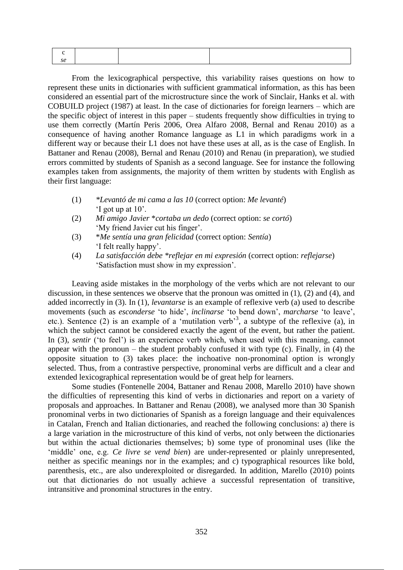From the lexicographical perspective, this variability raises questions on how to represent these units in dictionaries with sufficient grammatical information, as this has been considered an essential part of the microstructure since the work of Sinclair, Hanks et al. with COBUILD project (1987) at least. In the case of dictionaries for foreign learners – which are the specific object of interest in this paper – students frequently show difficulties in trying to use them correctly (Martín Peris 2006, Orea Alfaro 2008, Bernal and Renau 2010) as a consequence of having another Romance language as L1 in which paradigms work in a different way or because their L1 does not have these uses at all, as is the case of English. In Battaner and Renau (2008), Bernal and Renau (2010) and Renau (in preparation), we studied errors committed by students of Spanish as a second language. See for instance the following examples taken from assignments, the majority of them written by students with English as their first language:

- (1) *\*Levantó de mi cama a las 10* (correct option: *Me levanté*) 'I got up at 10'.
- (2) *Mi amigo Javier* \**cortaba un dedo* (correct option: *se cortó*) 'My friend Javier cut his finger'.
- (3) \**Me sentía una gran felicidad* (correct option: *Sentía*) 'I felt really happy'.
- (4) *La satisfacción debe \*reflejar en mi expresión* (correct option: *reflejarse*) 'Satisfaction must show in my expression'.

Leaving aside mistakes in the morphology of the verbs which are not relevant to our discussion, in these sentences we observe that the pronoun was omitted in (1), (2) and (4), and added incorrectly in (3). In (1), *levantarse* is an example of reflexive verb (a) used to describe movements (such as *esconderse* 'to hide', *inclinarse* 'to bend down', *marcharse* 'to leave', etc.). Sentence (2) is an example of a 'mutilation verb<sup>33</sup>, a subtype of the reflexive (a), in which the subject cannot be considered exactly the agent of the event, but rather the patient. In (3), *sentir* ('to feel') is an experience verb which, when used with this meaning, cannot appear with the pronoun – the student probably confused it with type (c). Finally, in (4) the opposite situation to (3) takes place: the inchoative non-pronominal option is wrongly selected. Thus, from a contrastive perspective, pronominal verbs are difficult and a clear and extended lexicographical representation would be of great help for learners.

Some studies (Fontenelle 2004, Battaner and Renau 2008, Marello 2010) have shown the difficulties of representing this kind of verbs in dictionaries and report on a variety of proposals and approaches. In Battaner and Renau (2008), we analysed more than 30 Spanish pronominal verbs in two dictionaries of Spanish as a foreign language and their equivalences in Catalan, French and Italian dictionaries, and reached the following conclusions: a) there is a large variation in the microstructure of this kind of verbs, not only between the dictionaries but within the actual dictionaries themselves; b) some type of pronominal uses (like the 'middle' one, e.g. *Ce livre se vend bien*) are under-represented or plainly unrepresented, neither as specific meanings nor in the examples; and c) typographical resources like bold, parenthesis, etc., are also underexploited or disregarded. In addition, Marello (2010) points out that dictionaries do not usually achieve a successful representation of transitive, intransitive and pronominal structures in the entry.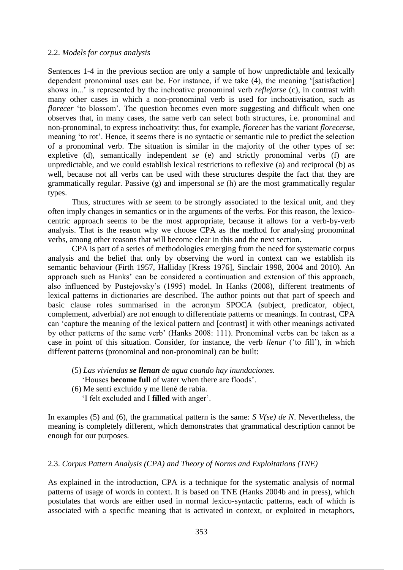#### 2.2. *Models for corpus analysis*

Sentences 1-4 in the previous section are only a sample of how unpredictable and lexically dependent pronominal uses can be. For instance, if we take (4), the meaning '[satisfaction] shows in...' is represented by the inchoative pronominal verb *reflejarse* (c), in contrast with many other cases in which a non-pronominal verb is used for inchoativisation, such as *florecer* 'to blossom'*.* The question becomes even more suggesting and difficult when one observes that, in many cases, the same verb can select both structures, i.e. pronominal and non-pronominal, to express inchoativity: thus, for example, *florecer* has the variant *florecerse,*  meaning 'to rot'. Hence, it seems there is no syntactic or semantic rule to predict the selection of a pronominal verb. The situation is similar in the majority of the other types of *se*: expletive (d), semantically independent *se* (e) and strictly pronominal verbs (f) are unpredictable, and we could establish lexical restrictions to reflexive (a) and reciprocal (b) as well, because not all verbs can be used with these structures despite the fact that they are grammatically regular. Passive (g) and impersonal *se* (h) are the most grammatically regular types.

Thus, structures with *se* seem to be strongly associated to the lexical unit, and they often imply changes in semantics or in the arguments of the verbs. For this reason, the lexicocentric approach seems to be the most appropriate, because it allows for a verb-by-verb analysis. That is the reason why we choose CPA as the method for analysing pronominal verbs, among other reasons that will become clear in this and the next section.

CPA is part of a series of methodologies emerging from the need for systematic corpus analysis and the belief that only by observing the word in context can we establish its semantic behaviour (Firth 1957, Halliday [Kress 1976], Sinclair 1998, 2004 and 2010). An approach such as Hanks' can be considered a continuation and extension of this approach, also influenced by Pustejovsky's (1995) model. In Hanks (2008), different treatments of lexical patterns in dictionaries are described. The author points out that part of speech and basic clause roles summarised in the acronym SPOCA (subject, predicator, object, complement, adverbial) are not enough to differentiate patterns or meanings. In contrast, CPA can 'capture the meaning of the lexical pattern and [contrast] it with other meanings activated by other patterns of the same verb' (Hanks 2008: 111). Pronominal verbs can be taken as a case in point of this situation. Consider, for instance, the verb *llenar* ('to fill'), in which different patterns (pronominal and non-pronominal) can be built:

- (5) *Las viviendas se llenan de agua cuando hay inundaciones.* 'Houses **become full** of water when there are floods'.
- (6) Me sentí excluido y me llené de rabia. 'I felt excluded and I **filled** with anger'.

In examples (5) and (6), the grammatical pattern is the same: *S V(se) de N*. Nevertheless, the meaning is completely different, which demonstrates that grammatical description cannot be enough for our purposes.

# 2.3. *Corpus Pattern Analysis (CPA) and Theory of Norms and Exploitations (TNE)*

As explained in the introduction, CPA is a technique for the systematic analysis of normal patterns of usage of words in context. It is based on TNE (Hanks 2004b and in press), which postulates that words are either used in normal lexico-syntactic patterns, each of which is associated with a specific meaning that is activated in context, or exploited in metaphors,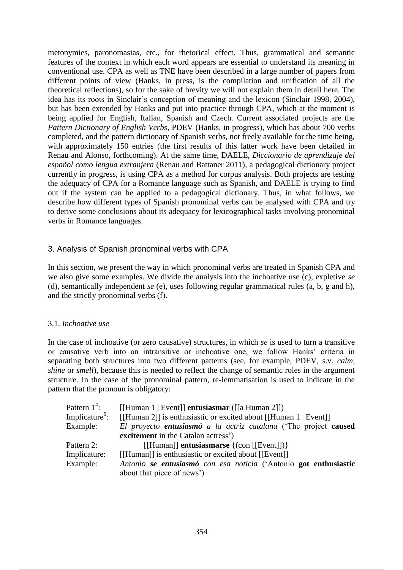metonymies, paronomasias, etc., for rhetorical effect. Thus, grammatical and semantic features of the context in which each word appears are essential to understand its meaning in conventional use. CPA as well as TNE have been described in a large number of papers from different points of view (Hanks, in press, is the compilation and unification of all the theoretical reflections), so for the sake of brevity we will not explain them in detail here. The idea has its roots in Sinclair's conception of meaning and the lexicon (Sinclair 1998, 2004), but has been extended by Hanks and put into practice through CPA, which at the moment is being applied for English, Italian, Spanish and Czech. Current associated projects are the *Pattern Dictionary of English Verbs,* PDEV (Hanks, in progress), which has about 700 verbs completed, and the pattern dictionary of Spanish verbs, not freely available for the time being, with approximately 150 entries (the first results of this latter work have been detailed in Renau and Alonso, forthcoming). At the same time, DAELE, *Diccionario de aprendizaje del español como lengua extranjera* (Renau and Battaner 2011), a pedagogical dictionary project currently in progress, is using CPA as a method for corpus analysis. Both projects are testing the adequacy of CPA for a Romance language such as Spanish, and DAELE is trying to find out if the system can be applied to a pedagogical dictionary. Thus, in what follows, we describe how different types of Spanish pronominal verbs can be analysed with CPA and try to derive some conclusions about its adequacy for lexicographical tasks involving pronominal verbs in Romance languages.

# 3. Analysis of Spanish pronominal verbs with CPA

In this section, we present the way in which pronominal verbs are treated in Spanish CPA and we also give some examples. We divide the analysis into the inchoative use (c), expletive *se*  (d), semantically independent *se* (e), uses following regular grammatical rules (a, b, g and h), and the strictly pronominal verbs (f).

# 3.1. *Inchoative use*

In the case of inchoative (or zero causative) structures, in which *se* is used to turn a transitive or causative verb into an intransitive or inchoative one, we follow Hanks' criteria in separating both structures into two different patterns (see, for example, PDEV, s.v. *calm, shine* or *smell*), because this is needed to reflect the change of semantic roles in the argument structure. In the case of the pronominal pattern, re-lemmatisation is used to indicate in the pattern that the pronoun is obligatory:

| Pattern $1^4$ :<br>Implicature <sup>5</sup> : | [[Human 1   Event]] <b>entusiasmar</b> ([[a Human 2]])<br>[[Human 2]] is enthusiastic or excited about [[Human 1   Event]] |
|-----------------------------------------------|----------------------------------------------------------------------------------------------------------------------------|
| Example:                                      | El proyecto entusiasmó a la actriz catalana ('The project caused                                                           |
|                                               | excitement in the Catalan actress')                                                                                        |
| Pattern 2:                                    | [[Human]] <b>entusiasmarse</b> $\{(\text{con} \text{[[Event]]})\}$                                                         |
| Implicature:                                  | [[Human]] is enthusiastic or excited about [[Event]]                                                                       |
| Example:                                      | Antonio se entusiasmó con esa noticia ('Antonio got enthusiastic<br>about that piece of news')                             |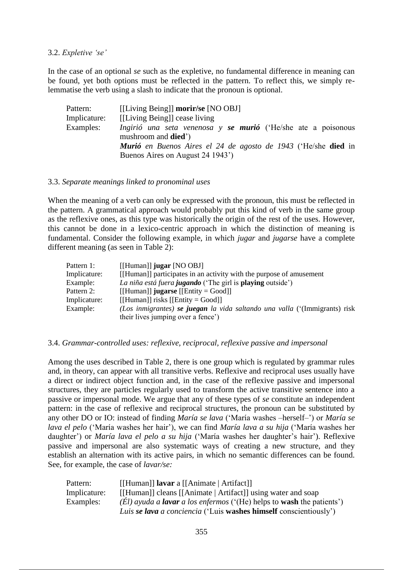# 3.2. *Expletive 'se'*

In the case of an optional *se* such as the expletive, no fundamental difference in meaning can be found, yet both options must be reflected in the pattern. To reflect this, we simply relemmatise the verb using a slash to indicate that the pronoun is optional.

| Pattern:     | [[Living Being]] <b>morir/se</b> [NO OBJ]                                                    |
|--------------|----------------------------------------------------------------------------------------------|
| Implicature: | [[Living Being]] cease living                                                                |
| Examples:    | Ingirió una seta venenosa y se murió ('He/she ate a poisonous<br>mushroom and <b>died</b> ') |
|              | <b>Murió</b> en Buenos Aires el 24 de agosto de 1943 ('He/she <b>died</b> in                 |
|              | Buenos Aires on August 24 1943 <sup>'</sup> )                                                |

#### 3.3. *Separate meanings linked to pronominal uses*

When the meaning of a verb can only be expressed with the pronoun, this must be reflected in the pattern. A grammatical approach would probably put this kind of verb in the same group as the reflexive ones, as this type was historically the origin of the rest of the uses. However, this cannot be done in a lexico-centric approach in which the distinction of meaning is fundamental. Consider the following example, in which *jugar* and *jugarse* have a complete different meaning (as seen in Table 2):

| Pattern 1:   | $[$ [Human]] jugar [NO OBJ]                                                |
|--------------|----------------------------------------------------------------------------|
| Implicature: | [[Human]] participates in an activity with the purpose of amusement        |
| Example:     | La niña está fuera jugando ('The girl is playing outside')                 |
| Pattern 2:   | [[Human]] jugarse [[Entity = Good]]                                        |
| Implicature: | [[Human]] risks [[Entity = $Good$ ]]                                       |
| Example:     | (Los inmigrantes) se juegan la vida saltando una valla ('(Immigrants) risk |
|              | their lives jumping over a fence')                                         |

# 3.4. *Grammar-controlled uses: reflexive, reciprocal, reflexive passive and impersonal*

Among the uses described in Table 2, there is one group which is regulated by grammar rules and, in theory, can appear with all transitive verbs. Reflexive and reciprocal uses usually have a direct or indirect object function and, in the case of the reflexive passive and impersonal structures, they are particles regularly used to transform the active transitive sentence into a passive or impersonal mode. We argue that any of these types of *se* constitute an independent pattern: in the case of reflexive and reciprocal structures, the pronoun can be substituted by any other DO or IO: instead of finding *María se lava* ('María washes –herself–') or *María se lava el pelo* ('María washes her hair'), we can find *María lava a su hija* ('María washes her daughter') or *María lava el pelo a su hija* ('María washes her daughter's hair'). Reflexive passive and impersonal are also systematic ways of creating a new structure, and they establish an alternation with its active pairs, in which no semantic differences can be found. See, for example, the case of *lavar/se:*

| Pattern:     | [[Human]] <b>lavar</b> a [[Animate   Artifact]]                                                     |
|--------------|-----------------------------------------------------------------------------------------------------|
| Implicature: | [[Human]] cleans [[Animate   Artifact]] using water and soap                                        |
| Examples:    | $(\dot{E}l)$ ayuda a <b>lavar</b> a los enfermos ( $(\dot{H}e)$ helps to <b>wash</b> the patients') |
|              | Luis se lava a conciencia ('Luis washes himself conscientiously')                                   |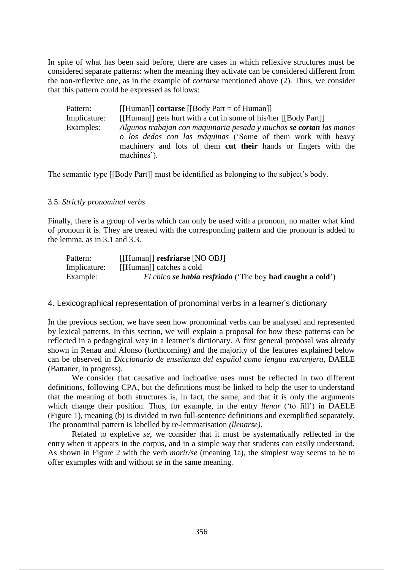In spite of what has been said before, there are cases in which reflexive structures must be considered separate patterns: when the meaning they activate can be considered different from the non-reflexive one, as in the example of *cortarse* mentioned above (2). Thus, we consider that this pattern could be expressed as follows:

| Pattern:     | [[Human]] cortarse [[Body Part = of Human]]                           |
|--------------|-----------------------------------------------------------------------|
| Implicature: | [[Human]] gets hurt with a cut in some of his/her [[Body Part]]       |
| Examples:    | Algunos trabajan con maquinaria pesada y muchos se cortan las manos   |
|              | o los dedos con las máquinas ('Some of them work with heavy           |
|              | machinery and lots of them <b>cut their</b> hands or fingers with the |
|              | machines').                                                           |

The semantic type [[Body Part]] must be identified as belonging to the subject's body.

#### 3.5. *Strictly pronominal verbs*

Finally, there is a group of verbs which can only be used with a pronoun, no matter what kind of pronoun it is. They are treated with the corresponding pattern and the pronoun is added to the lemma, as in 3.1 and 3.3.

| Pattern:     | [[Human]] resfriarse [NO OBJ]                             |
|--------------|-----------------------------------------------------------|
| Implicature: | [[Human]] catches a cold                                  |
| Example:     | El chico se había resfriado ('The boy had caught a cold') |

#### 4. Lexicographical representation of pronominal verbs in a learner's dictionary

In the previous section, we have seen how pronominal verbs can be analysed and represented by lexical patterns. In this section, we will explain a proposal for how these patterns can be reflected in a pedagogical way in a learner's dictionary. A first general proposal was already shown in Renau and Alonso (forthcoming) and the majority of the features explained below can be observed in *Diccionario de enseñanza del español como lengua extranjera,* DAELE (Battaner, in progress).

We consider that causative and inchoative uses must be reflected in two different definitions, following CPA, but the definitions must be linked to help the user to understand that the meaning of both structures is, in fact, the same, and that it is only the arguments which change their position. Thus, for example, in the entry *llenar* ('to fill') in DAELE (Figure 1), meaning (b) is divided in two full-sentence definitions and exemplified separately. The pronominal pattern is labelled by re-lemmatisation *(llenarse).*

Related to expletive *se,* we consider that it must be systematically reflected in the entry when it appears in the corpus, and in a simple way that students can easily understand. As shown in Figure 2 with the verb *morir/se* (meaning 1a), the simplest way seems to be to offer examples with and without *se* in the same meaning.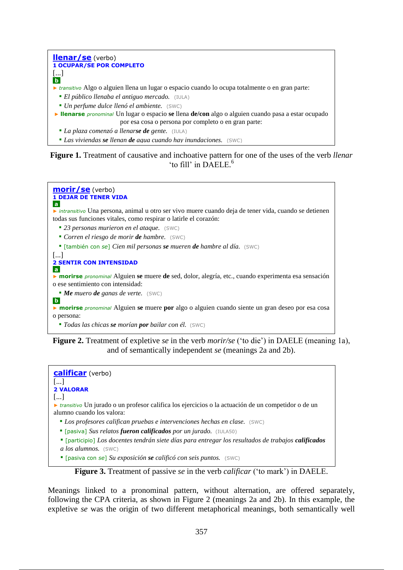

**Figure 1.** Treatment of causative and inchoative pattern for one of the uses of the verb *llenar* 'to fill' in DAELE. 6



**Figure 2.** Treatment of expletive *se* in the verb *morir/se* ('to die') in DAELE (meaning 1a), and of semantically independent *se* (meanings 2a and 2b).



**Figure 3.** Treatment of passive *se* in the verb *calificar* ('to mark') in DAELE.

Meanings linked to a pronominal pattern, without alternation, are offered separately, following the CPA criteria, as shown in Figure 2 (meanings 2a and 2b). In this example, the expletive *se* was the origin of two different metaphorical meanings, both semantically well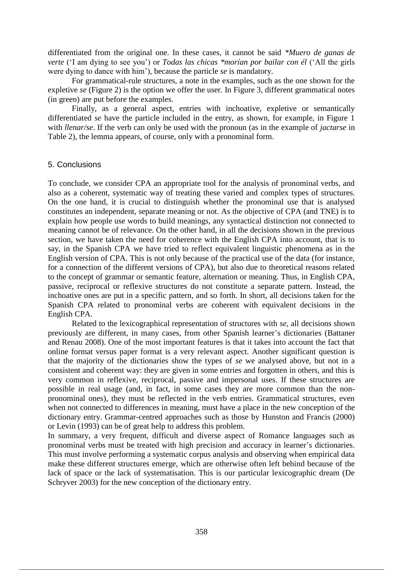differentiated from the original one. In these cases, it cannot be said *\*Muero de ganas de verte* ('I am dying to see you') or *Todas las chicas \*morían por bailar con él* ('All the girls were dying to dance with him'), because the particle *se* is mandatory.

For grammatical-rule structures, a note in the examples, such as the one shown for the expletive *se* (Figure 2) is the option we offer the user. In Figure 3, different grammatical notes (in green) are put before the examples.

Finally, as a general aspect, entries with inchoative, expletive or semantically differentiated *se* have the particle included in the entry, as shown, for example, in Figure 1 with *llenar/se*. If the verb can only be used with the pronoun (as in the example of *jactarse* in Table 2), the lemma appears, of course, only with a pronominal form.

# 5. Conclusions

To conclude, we consider CPA an appropriate tool for the analysis of pronominal verbs, and also as a coherent, systematic way of treating these varied and complex types of structures. On the one hand, it is crucial to distinguish whether the pronominal use that is analysed constitutes an independent, separate meaning or not. As the objective of CPA (and TNE) is to explain how people use words to build meanings, any syntactical distinction not connected to meaning cannot be of relevance. On the other hand, in all the decisions shown in the previous section, we have taken the need for coherence with the English CPA into account, that is to say, in the Spanish CPA we have tried to reflect equivalent linguistic phenomena as in the English version of CPA. This is not only because of the practical use of the data (for instance, for a connection of the different versions of CPA), but also due to theoretical reasons related to the concept of grammar or semantic feature, alternation or meaning. Thus, in English CPA, passive, reciprocal or reflexive structures do not constitute a separate pattern. Instead, the inchoative ones are put in a specific pattern, and so forth. In short, all decisions taken for the Spanish CPA related to pronominal verbs are coherent with equivalent decisions in the English CPA.

Related to the lexicographical representation of structures with *se,* all decisions shown previously are different, in many cases, from other Spanish learner's dictionaries (Battaner and Renau 2008). One of the most important features is that it takes into account the fact that online format versus paper format is a very relevant aspect. Another significant question is that the majority of the dictionaries show the types of *se* we analysed above, but not in a consistent and coherent way: they are given in some entries and forgotten in others, and this is very common in reflexive, reciprocal, passive and impersonal uses. If these structures are possible in real usage (and, in fact, in some cases they are more common than the nonpronominal ones), they must be reflected in the verb entries. Grammatical structures, even when not connected to differences in meaning, must have a place in the new conception of the dictionary entry. Grammar-centred approaches such as those by Hunston and Francis (2000) or Levin (1993) can be of great help to address this problem.

In summary, a very frequent, difficult and diverse aspect of Romance languages such as pronominal verbs must be treated with high precision and accuracy in learner's dictionaries. This must involve performing a systematic corpus analysis and observing when empirical data make these different structures emerge, which are otherwise often left behind because of the lack of space or the lack of systematisation. This is our particular lexicographic dream (De Schryver 2003) for the new conception of the dictionary entry.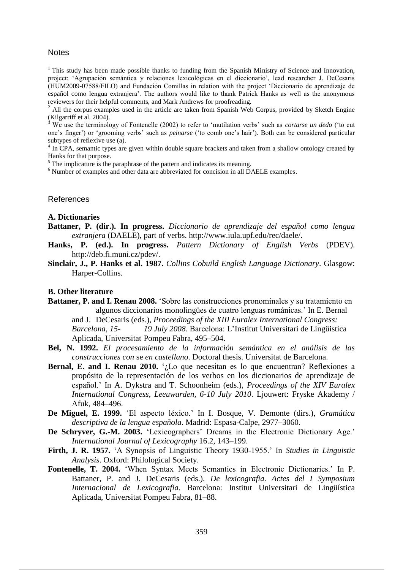#### **Notes**

 $1$ <sup>1</sup> This study has been made possible thanks to funding from the Spanish Ministry of Science and Innovation, project: 'Agrupación semántica y relaciones lexicológicas en el diccionario', lead researcher J. DeCesaris (HUM2009-07588/FILO) and Fundación Comillas in relation with the project 'Diccionario de aprendizaje de español como lengua extranjera'. The authors would like to thank Patrick Hanks as well as the anonymous reviewers for their helpful comments, and Mark Andrews for proofreading.

<sup>2</sup> All the corpus examples used in the article are taken from Spanish Web Corpus, provided by Sketch Engine (Kilgarriff et al. 2004).

<sup>3</sup> We use the terminology of Fontenelle (2002) to refer to 'mutilation verbs' such as *cortarse un dedo* ('to cut one's finger') or 'grooming verbs' such as *peinarse* ('to comb one's hair'). Both can be considered particular subtypes of reflexive use (a).

<sup>4</sup> In CPA, semantic types are given within double square brackets and taken from a shallow ontology created by Hanks for that purpose.

 $<sup>5</sup>$  The implicature is the paraphrase of the pattern and indicates its meaning.</sup>

<sup>6</sup> Number of examples and other data are abbreviated for concision in all DAELE examples.

#### References

#### **A. Dictionaries**

- **Battaner, P. (dir.). In progress.** *Diccionario de aprendizaje del español como lengua extranjera* (DAELE), part of verbs. http://www.iula.upf.edu/rec/daele/.
- **Hanks, P. (ed.). In progress.** *Pattern Dictionary of English Verbs* (PDEV). http://deb.fi.muni.cz/pdev/.
- **Sinclair, J., P. Hanks et al. 1987.** *Collins Cobuild English Language Dictionary*. Glasgow: Harper-Collins.

#### **B. Other literature**

- **Battaner, P. and I. Renau 2008.** 'Sobre las construcciones pronominales y su tratamiento en algunos diccionarios monolingües de cuatro lenguas románicas.' In E. Bernal and J. DeCesaris (eds.), *Proceedings of the XIII Euralex International Congress: Barcelona, 15- 19 July 2008*. Barcelona: L'Institut Universitari de Lingüistica Aplicada, Universitat Pompeu Fabra, 495–504.
- **Bel, N. 1992.** *El procesamiento de la información semántica en el análisis de las construcciones con* se *en castellano*. Doctoral thesis. Universitat de Barcelona.
- **Bernal, E. and I. Renau 2010.** '*i*, Lo que necesitan es lo que encuentran? Reflexiones a propósito de la representación de los verbos en los diccionarios de aprendizaje de español.' In A. Dykstra and T. Schoonheim (eds.), *Proceedings of the XIV Euralex International Congress*, *Leeuwarden, 6-10 July 2010*. Ljouwert: Fryske Akademy / Afuk, 484–496.
- **De Miguel, E. 1999.** 'El aspecto léxico.' In I. Bosque, V. Demonte (dirs.), *Gramática descriptiva de la lengua española*. Madrid: Espasa-Calpe, 2977–3060.
- **De Schryver, G.-M. 2003.** 'Lexicographers' Dreams in the Electronic Dictionary Age.' *International Journal of Lexicography* 16.2, 143–199.
- **Firth, J. R. 1957.** 'A Synopsis of Linguistic Theory 1930-1955.' In *Studies in Linguistic Analysis*. Oxford: Philological Society.
- **Fontenelle, T. 2004.** 'When Syntax Meets Semantics in Electronic Dictionaries.' In P. Battaner, P. and J. DeCesaris (eds.). *De lexicografia. Actes del I Symposium Internacional de Lexicografia.* Barcelona: Institut Universitari de Lingüística Aplicada, Universitat Pompeu Fabra, 81–88.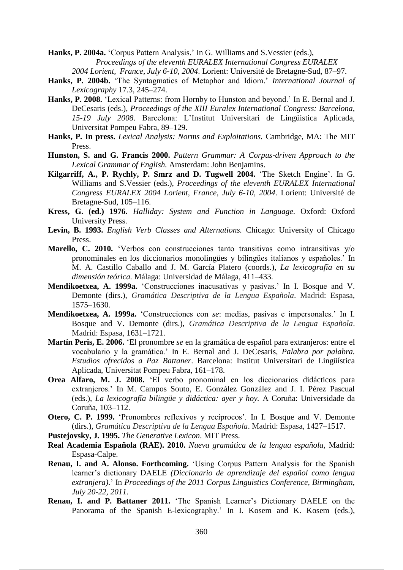**Hanks, P. 2004a.** 'Corpus Pattern Analysis.' In G. Williams and S.Vessier (eds.), *Proceedings of the eleventh EURALEX International Congress EURALEX 2004 Lorient, France, July 6-10, 2004*. Lorient: Université de Bretagne-Sud, 87–97.

- **Hanks, P. 2004b.** 'The Syntagmatics of Metaphor and Idiom.' *International Journal of Lexicography* 17.3, 245–274.
- **Hanks, P. 2008.** 'Lexical Patterns: from Hornby to Hunston and beyond.' In E. Bernal and J. DeCesaris (eds.), *Proceedings of the XIII Euralex International Congress: Barcelona, 15-19 July 2008*. Barcelona: L'Institut Universitari de Lingüistica Aplicada, Universitat Pompeu Fabra, 89–129.
- **Hanks, P. In press.** *Lexical Analysis: Norms and Exploitations.* Cambridge, MA: The MIT Press.
- **Hunston, S. and G. Francis 2000.** *Pattern Grammar: A Corpus-driven Approach to the Lexical Grammar of English.* Amsterdam: John Benjamins.
- **Kilgarriff, A., P. Rychly, P. Smrz and D. Tugwell 2004.** 'The Sketch Engine'. In G. Williams and S.Vessier (eds.), *Proceedings of the eleventh EURALEX International Congress EURALEX 2004 Lorient, France, July 6-10, 2004*. Lorient: Université de Bretagne-Sud, 105–116.
- **Kress, G. (ed.) 1976.** *Halliday: System and Function in Language*. Oxford: Oxford University Press.
- **Levin, B. 1993.** *English Verb Classes and Alternations.* Chicago: University of Chicago Press.
- **Marello, C. 2010.** 'Verbos con construcciones tanto transitivas como intransitivas y/o pronominales en los diccionarios monolingües y bilingües italianos y españoles.' In M. A. Castillo Caballo and J. M. García Platero (coords.), *La lexicografía en su dimensión teórica.* Málaga: Universidad de Málaga, 411–433.
- **Mendikoetxea, A. 1999a.** 'Construcciones inacusativas y pasivas.' In I. Bosque and V. Demonte (dirs.), *Gramática Descriptiva de la Lengua Española*. Madrid: Espasa, 1575–1630.
- **Mendikoetxea, A. 1999a.** 'Construcciones con *se*: medias, pasivas e impersonales.' In I. Bosque and V. Demonte (dirs.), *Gramática Descriptiva de la Lengua Española*. Madrid: Espasa, 1631–1721.
- **Martín Peris, E. 2006.** 'El pronombre *se* en la gramática de español para extranjeros: entre el vocabulario y la gramática.' In E. Bernal and J. DeCesaris, *Palabra por palabra. Estudios ofrecidos a Paz Battaner*. Barcelona: Institut Universitari de Lingüística Aplicada, Universitat Pompeu Fabra, 161–178.
- **Orea Alfaro, M. J. 2008.** 'El verbo pronominal en los diccionarios didácticos para extranjeros.' In M. Campos Souto, E. González González and J. I. Pérez Pascual (eds.), *La lexicografía bilingüe y didáctica: ayer y hoy.* A Coruña: Universidade da Coruña, 103–112.
- **Otero, C. P. 1999.** 'Pronombres reflexivos y recíprocos'. In I. Bosque and V. Demonte (dirs.), *Gramática Descriptiva de la Lengua Española*. Madrid: Espasa, 1427–1517.
- **Pustejovsky, J. 1995.** *The Generative Lexicon*. MIT Press.
- **Real Academia Española (RAE). 2010.** *Nueva gramática de la lengua española,* Madrid: Espasa-Calpe.
- **Renau, I. and A. Alonso. Forthcoming.** 'Using Corpus Pattern Analysis for the Spanish learner's dictionary DAELE *(Diccionario de aprendizaje del español como lengua extranjera)*.' In *Proceedings of the 2011 Corpus Linguistics Conference, Birmingham, July 20-22, 2011.*
- **Renau, I. and P. Battaner 2011.** 'The Spanish Learner's Dictionary DAELE on the Panorama of the Spanish E-lexicography.' In I. Kosem and K. Kosem (eds.),